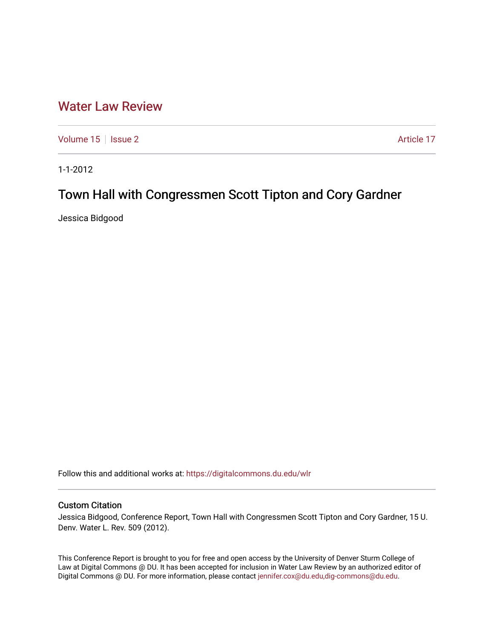## [Water Law Review](https://digitalcommons.du.edu/wlr)

[Volume 15](https://digitalcommons.du.edu/wlr/vol15) | [Issue 2](https://digitalcommons.du.edu/wlr/vol15/iss2) Article 17

1-1-2012

# Town Hall with Congressmen Scott Tipton and Cory Gardner

Jessica Bidgood

Follow this and additional works at: [https://digitalcommons.du.edu/wlr](https://digitalcommons.du.edu/wlr?utm_source=digitalcommons.du.edu%2Fwlr%2Fvol15%2Fiss2%2F17&utm_medium=PDF&utm_campaign=PDFCoverPages) 

#### Custom Citation

Jessica Bidgood, Conference Report, Town Hall with Congressmen Scott Tipton and Cory Gardner, 15 U. Denv. Water L. Rev. 509 (2012).

This Conference Report is brought to you for free and open access by the University of Denver Sturm College of Law at Digital Commons @ DU. It has been accepted for inclusion in Water Law Review by an authorized editor of Digital Commons @ DU. For more information, please contact [jennifer.cox@du.edu,dig-commons@du.edu](mailto:jennifer.cox@du.edu,dig-commons@du.edu).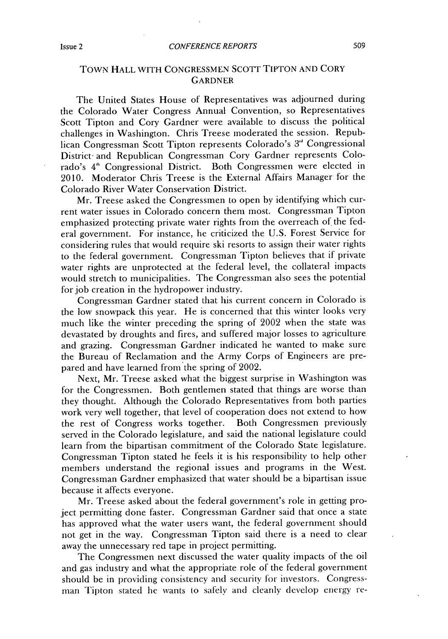### **TOWN HALL WITH CONGRESSMEN ScOTT TIPTON AND CORY GARDNER**

The United States House of Representatives was adjourned during the Colorado Water Congress Annual Convention, so Representatives Scott Tipton and Cory Gardner were available to discuss the political challenges in Washington. Chris Treese moderated the session. Republican Congressman Scott Tipton represents Colorado's **3"'** Congressional District- and Republican Congressman Cory Gardner represents Colorado's 4<sup>th</sup> Congressional District. Both Congressmen were elected in 2010. Moderator Chris Treese is the External Affairs Manager for the Colorado River Water Conservation District.

Mr. Treese asked the Congressmen to open **by** identifying which current water issues in Colorado concern them most. Congressman Tipton emphasized protecting private water rights from the overreach of the federal government. For instance, he criticized the **U.S.** Forest Service for considering rules that would require ski resorts to assign their water rights to the federal government. Congressman Tipton believes that **if** private water rights are unprotected at the federal level, the collateral impacts would stretch to municipalities. The Congressman also sees the potential for job creation in the hydropower industry.

Congressman Gardner stated that his current concern in Colorado **is** the low snowpack this year. He is concerned that this winter looks very much like the winter preceding the spring of 2002 when the state was devastated **by** droughts and fires, and suffered major losses to agriculture and grazing. Congressman Gardner indicated he wanted to make sure the Bureau of Reclamation and the Army Corps of Engineers are prepared and have learned from the spring of 2002.

Next, Mr. Treese asked what the biggest surprise in Washington was for the Congressmen. Both gentlemen stated that things are worse than they thought. Although the Colorado Representatives from both parties work very well together, that level of cooperation does not extend to how the rest of Congress works together. Both Congressmen previously served in the Colorado legislature, and said the national legislature could learn from the bipartisan commitment of the Colorado State legislature. Congressman Tipton stated he feels it is his responsibility to help other members understand the regional issues and programs in the West. Congressman Gardner emphasized that water should be a bipartisan issue because it affects everyone.

Mr. Treese asked about the federal government's role in getting project permitting done faster. Congressman Gardner said that once a state has approved what the water users want, the federal government should not get in the way. Congressman Tipton said there is a need to clear away the unnecessary red tape in project permitting.

The Congressmen next discussed the water quality impacts of the oil and gas industry and what the appropriate role of the federal government should be in providing consistency and security **for** investors. *Congress*nan Tipton stated he wants to safely and cleanly develop energy re